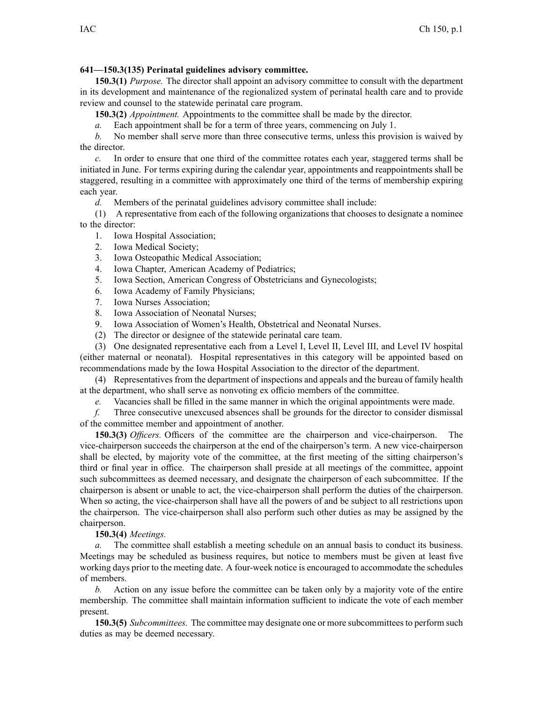## **641—150.3(135) Perinatal guidelines advisory committee.**

**150.3(1)** *Purpose.* The director shall appoint an advisory committee to consult with the department in its development and maintenance of the regionalized system of perinatal health care and to provide review and counsel to the statewide perinatal care program.

**150.3(2)** *Appointment.* Appointments to the committee shall be made by the director.

*a.* Each appointment shall be for <sup>a</sup> term of three years, commencing on July 1.

*b.* No member shall serve more than three consecutive terms, unless this provision is waived by the director.

*c.* In order to ensure that one third of the committee rotates each year, staggered terms shall be initiated in June. For terms expiring during the calendar year, appointments and reappointments shall be staggered, resulting in <sup>a</sup> committee with approximately one third of the terms of membership expiring each year.

*d.* Members of the perinatal guidelines advisory committee shall include:

(1) A representative from each of the following organizations that chooses to designate <sup>a</sup> nominee to the director:

- 1. Iowa Hospital Association;
- 2. Iowa Medical Society;
- 3. Iowa Osteopathic Medical Association;
- 4. Iowa Chapter, American Academy of Pediatrics;
- 5. Iowa Section, American Congress of Obstetricians and Gynecologists;
- 6. Iowa Academy of Family Physicians;
- 7. Iowa Nurses Association;
- 8. Iowa Association of Neonatal Nurses;
- 9. Iowa Association of Women's Health, Obstetrical and Neonatal Nurses.
- (2) The director or designee of the statewide perinatal care team.

(3) One designated representative each from <sup>a</sup> Level I, Level II, Level III, and Level IV hospital (either maternal or neonatal). Hospital representatives in this category will be appointed based on recommendations made by the Iowa Hospital Association to the director of the department.

(4) Representatives from the department of inspections and appeals and the bureau of family health at the department, who shall serve as nonvoting ex officio members of the committee.

*e.* Vacancies shall be filled in the same manner in which the original appointments were made.

*f.* Three consecutive unexcused absences shall be grounds for the director to consider dismissal of the committee member and appointment of another.

**150.3(3)** *Officers.* Officers of the committee are the chairperson and vice-chairperson. The vice-chairperson succeeds the chairperson at the end of the chairperson's term. A new vice-chairperson shall be elected, by majority vote of the committee, at the first meeting of the sitting chairperson's third or final year in office. The chairperson shall preside at all meetings of the committee, appoint such subcommittees as deemed necessary, and designate the chairperson of each subcommittee. If the chairperson is absent or unable to act, the vice-chairperson shall perform the duties of the chairperson. When so acting, the vice-chairperson shall have all the powers of and be subject to all restrictions upon the chairperson. The vice-chairperson shall also perform such other duties as may be assigned by the chairperson.

## **150.3(4)** *Meetings.*

*a.* The committee shall establish <sup>a</sup> meeting schedule on an annual basis to conduct its business. Meetings may be scheduled as business requires, but notice to members must be given at least five working days prior to the meeting date. A four-week notice is encouraged to accommodate the schedules of members.

*b.* Action on any issue before the committee can be taken only by <sup>a</sup> majority vote of the entire membership. The committee shall maintain information sufficient to indicate the vote of each member present.

**150.3(5)** *Subcommittees.* The committee may designate one or more subcommittees to perform such duties as may be deemed necessary.